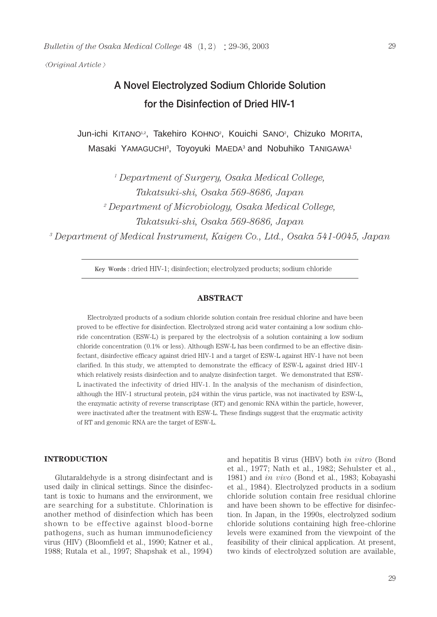*Original Article*

# **A Novel Electrolyzed Sodium Chloride Solution for the Disinfection of Dried HIV-1**

Jun-ichi KITANO<sup>12</sup>, Takehiro KOHNO<sup>2</sup>, Kouichi SANO<sup>2</sup>, Chizuko MORITA, Masaki YAMAGUCHI<sup>3</sup>, Toyoyuki MAEDA<sup>3</sup> and Nobuhiko TANIGAWA<sup>1</sup>

> *<sup>1</sup> Department of Surgery, Osaka Medical College, Takatsuki-shi, Osaka 569-8686, Japan*

*<sup>2</sup> Department of Microbiology, Osaka Medical College, Takatsuki-shi, Osaka 569-8686, Japan*

*<sup>3</sup> Department of Medical Instrument, Kaigen Co., Ltd., Osaka 541-0045, Japan*

Key Words : dried HIV-1; disinfection; electrolyzed products; sodium chloride

## **ABSTRACT**

Electrolyzed products of a sodium chloride solution contain free residual chlorine and have been proved to be effective for disinfection. Electrolyzed strong acid water containing a low sodium chloride concentration (ESW-L) is prepared by the electrolysis of a solution containing a low sodium chloride concentration (0.1% or less). Although ESW-L has been confirmed to be an effective disinfectant, disinfective efficacy against dried HIV-1 and a target of ESW-L against HIV-1 have not been clarified. In this study, we attempted to demonstrate the efficacy of ESW-L against dried HIV-1 which relatively resists disinfection and to analyze disinfection target. We demonstrated that ESW-L inactivated the infectivity of dried HIV-1. In the analysis of the mechanism of disinfection, although the HIV-1 structural protein, p24 within the virus particle, was not inactivated by ESW-L, the enzymatic activity of reverse transcriptase (RT) and genomic RNA within the particle, however, were inactivated after the treatment with ESW-L. These findings suggest that the enzymatic activity of RT and genomic RNA are the target of ESW-L.

# **INTRODUCTION**

Glutaraldehyde is a strong disinfectant and is used daily in clinical settings. Since the disinfectant is toxic to humans and the environment, we are searching for a substitute. Chlorination is another method of disinfection which has been shown to be effective against blood-borne pathogens, such as human immunodeficiency virus (HIV) (Bloomfield et al., 1990; Katner et al., 1988; Rutala et al., 1997; Shapshak et al., 1994)

and hepatitis B virus (HBV) both *in vitro* (Bond et al., 1977; Nath et al., 1982; Sehulster et al., 1981) and *in vivo* (Bond et al., 1983; Kobayashi et al., 1984). Electrolyzed products in a sodium chloride solution contain free residual chlorine and have been shown to be effective for disinfection. In Japan, in the 1990s, electrolyzed sodium chloride solutions containing high free-chlorine levels were examined from the viewpoint of the feasibility of their clinical application. At present, two kinds of electrolyzed solution are available,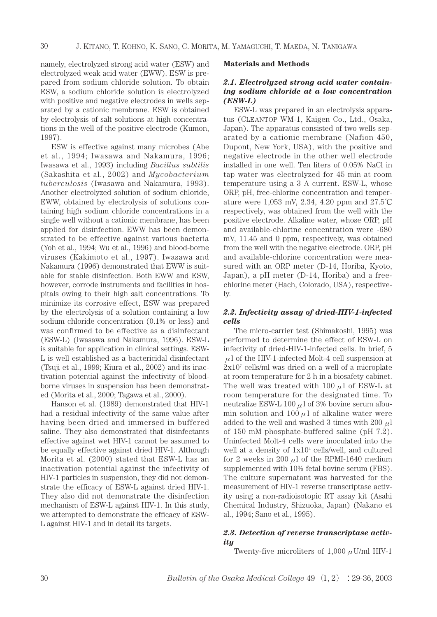namely, electrolyzed strong acid water (ESW) and electrolyzed weak acid water (EWW). ESW is prepared from sodium chloride solution. To obtain ESW, a sodium chloride solution is electrolyzed with positive and negative electrodes in wells separated by a cationic membrane. ESW is obtained by electrolysis of salt solutions at high concentrations in the well of the positive electrode (Kumon, 1997).

ESW is effective against many microbes (Abe et al., 1994; Iwasawa and Nakamura, 1996; Iwasawa et al., 1993) including *Bacillus subtilis* (Sakashita et al., 2002) and *Mycobacterium tuberculosis* (Iwasawa and Nakamura, 1993). Another electrolyzed solution of sodium chloride, EWW, obtained by electrolysis of solutions containing high sodium chloride concentrations in a single well without a cationic membrane, has been applied for disinfection. EWW has been demonstrated to be effective against various bacteria (Yoh et al., 1994; Wu et al., 1996) and blood-borne viruses (Kakimoto et al., 1997). Iwasawa and Nakamura (1996) demonstrated that EWW is suitable for stable disinfection. Both EWW and ESW, however, corrode instruments and facilities in hospitals owing to their high salt concentrations. To minimize its corrosive effect, ESW was prepared by the electrolysis of a solution containing a low sodium chloride concentration (0.1% or less) and was confirmed to be effective as a disinfectant (ESW-L) (Iwasawa and Nakamura, 1996). ESW-L is suitable for application in clinical settings. ESW-L is well established as a bactericidal disinfectant (Tsuji et al., 1999; Kiura et al., 2002) and its inactivation potential against the infectivity of bloodborne viruses in suspension has been demonstrated (Morita et al., 2000; Tagawa et al., 2000).

Hanson et al. (1989) demonstrated that HIV-1 had a residual infectivity of the same value after having been dried and immersed in buffered saline. They also demonstrated that disinfectants effective against wet HIV-1 cannot be assumed to be equally effective against dried HIV-1. Although Morita et al. (2000) stated that ESW-L has an inactivation potential against the infectivity of HIV-1 particles in suspension, they did not demonstrate the efficacy of ESW-L against dried HIV-1. They also did not demonstrate the disinfection mechanism of ESW-L against HIV-1. In this study, we attempted to demonstrate the efficacy of ESW-L against HIV-1 and in detail its targets.

#### **Materials and Methods**

# *2.1. Electrolyzed strong acid water containing sodium chloride at a low concentration (ESW-L)*

ESW-L was prepared in an electrolysis apparatus (CLEANTOP WM-1, Kaigen Co., Ltd., Osaka, Japan). The apparatus consisted of two wells separated by a cationic membrane (Nafion 450, Dupont, New York, USA), with the positive and negative electrode in the other well electrode installed in one well. Ten liters of 0.05% NaCl in tap water was electrolyzed for 45 min at room temperature using a 3 A current. ESW-L, whose ORP, pH, free-chlorine concentration and temperature were 1,053 mV, 2.34, 4.20 ppm and 27.5 respectively, was obtained from the well with the positive electrode. Alkaline water, whose ORP, pH and available-chlorine concentration were -680 mV, 11.45 and 0 ppm, respectively, was obtained from the well with the negative electrode. ORP, pH and available-chlorine concentration were measured with an ORP meter (D-14, Horiba, Kyoto, Japan), a pH meter (D-14, Horiba) and a freechlorine meter (Hach, Colorado, USA), respectively.

## *2.2. Infectivity assay of dried-HIV-1-infected cells*

The micro-carrier test (Shimakoshi, 1995) was performed to determine the effect of ESW-L on infectivity of dried-HIV-1-infected cells. In brief, 5  $\mu$ l of the HIV-1-infected Molt-4 cell suspension at 2x107 cells/ml was dried on a well of a microplate at room temperature for 2 h in a biosafety cabinet. The well was treated with 100  $\mu$ l of ESW-L at room temperature for the designated time. To neutralize ESW-L 100  $\mu$ 1 of 3% bovine serum albumin solution and  $100 \mu$  of alkaline water were added to the well and washed 3 times with 200  $\mu$ 1 of 150 mM phosphate-buffered saline (pH 7.2). Uninfected Molt-4 cells were inoculated into the well at a density of  $1x10^4$  cells/well, and cultured for 2 weeks in 200  $\mu$ l of the RPMI-1640 medium supplemented with 10% fetal bovine serum (FBS). The culture supernatant was harvested for the measurement of HIV-1 reverse transcriptase activity using a non-radioisotopic RT assay kit (Asahi Chemical Industry, Shizuoka, Japan) (Nakano et al., 1994; Sano et al., 1995).

## *2.3. Detection of reverse transcriptase activity*

Twenty-five microliters of  $1,000 \mu$ U/ml HIV-1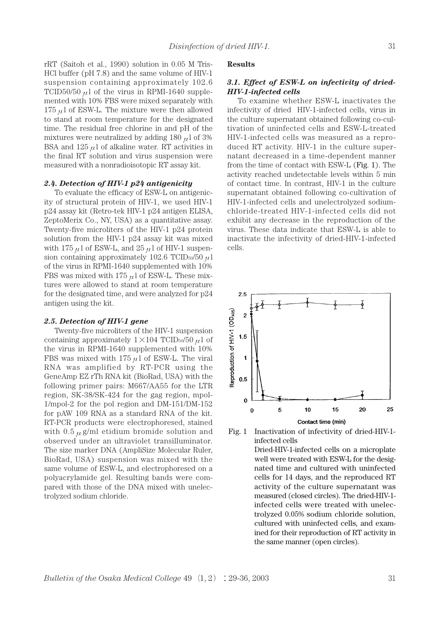rRT (Saitoh et al., 1990) solution in 0.05 M Tris-HCl buffer (pH 7.8) and the same volume of HIV-1 suspension containing approximately 102.6 TCID50/50  $\mu$ 1 of the virus in RPMI-1640 supplemented with 10% FBS were mixed separately with 175  $\mu$ l of ESW-L. The mixture were then allowed to stand at room temperature for the designated time. The residual free chlorine in and pH of the mixtures were neutralized by adding 180  $\mu$ l of 3% BSA and  $125 \mu l$  of alkaline water. RT activities in the final RT solution and virus suspension were measured with a nonradioisotopic RT assay kit.

## *2.4. Detection of HIV-1 p24 antigenicity*

To evaluate the efficacy of ESW-L on antigenicity of structural protein of HIV-1, we used HIV-1 p24 assay kit (Retro-tek HIV-1 p24 antigen ELISA, ZeptoMerix Co., NY, USA) as a quantitative assay. Twenty-five microliters of the HIV-1 p24 protein solution from the HIV-1 p24 assay kit was mixed with 175  $\mu$ 1 of ESW-L, and 25  $\mu$ 1 of HIV-1 suspension containing approximately 102.6 TCID $_{50}/50 \mu$ 1 of the virus in RPMI-1640 supplemented with 10% FBS was mixed with 175  $\mu$ l of ESW-L. These mixtures were allowed to stand at room temperature for the designated time, and were analyzed for p24 antigen using the kit.

#### *2.5. Detection of HIV-1 gene*

Twenty-five microliters of the HIV-1 suspension containing approximately  $1 \times 104$  TCID<sub>50</sub>/50  $\mu$ 1 of the virus in RPMI-1640 supplemented with 10% FBS was mixed with  $175 \mu l$  of ESW-L. The viral RNA was amplified by RT-PCR using the GeneAmp EZ rTh RNA kit (BioRad, USA) with the following primer pairs: M667/AA55 for the LTR region, SK-38/SK-424 for the gag region, mpol-1/mpol-2 for the pol region and DM-151/DM-152 for pAW 109 RNA as a standard RNA of the kit. RT-PCR products were electrophoresed, stained with  $0.5 \mu$  g/ml etidium bromide solution and observed under an ultraviolet transilluminator. The size marker DNA (AmpliSize Molecular Ruler, BioRad, USA) suspension was mixed with the same volume of ESW-L, and electrophoresed on a polyacrylamide gel. Resulting bands were compared with those of the DNA mixed with unelectrolyzed sodium chloride.

#### **Results**

## *3.1. Effect of ESW-L on infectivity of dried-HIV-1-infected cells*

To examine whether ESW-L inactivates the infectivity of dried HIV-1-infected cells, virus in the culture supernatant obtained following co-cultivation of uninfected cells and ESW-L-treated HIV-1-infected cells was measured as a reproduced RT activity. HIV-1 in the culture supernatant decreased in a time-dependent manner from the time of contact with ESW-L (Fig. 1). The activity reached undetectable levels within 5 min of contact time. In contrast, HIV-1 in the culture supernatant obtained following co-cultivation of HIV-1-infected cells and unelectrolyzed sodiumchloride-treated HIV-1-infected cells did not exhibit any decrease in the reproduction of the virus. These data indicate that ESW-L is able to inactivate the infectivity of dried-HIV-1-infected cells.



Fig. 1 Inactivation of infectivity of dried-HIV-1 infected cells

Dried-HIV-1-infected cells on a microplate well were treated with ESW-L for the designated time and cultured with uninfected cells for 14 days, and the reproduced RT activity of the culture supernatant was measured (closed circles). The dried-HIV-1 infected cells were treated with unelectrolyzed 0.05% sodium chloride solution, cultured with uninfected cells, and examined for their reproduction of RT activity in the same manner (open circles).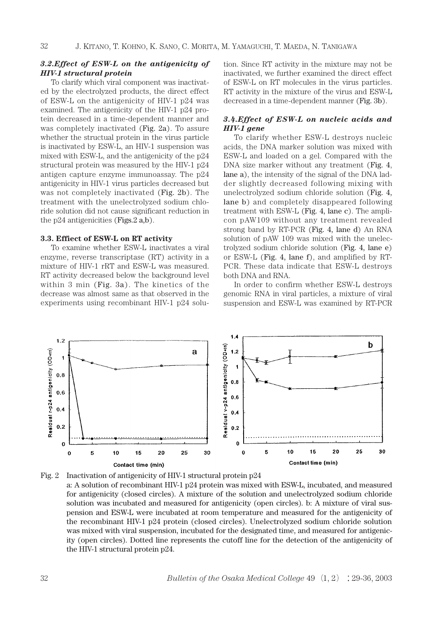## *3.2.Effect of ESW-L on the antigenicity of HIV-1 structural protein*

To clarify which viral component was inactivated by the electrolyzed products, the direct effect of ESW-L on the antigenicity of HIV-1 p24 was examined. The antigenicity of the HIV-1 p24 protein decreased in a time-dependent manner and was completely inactivated (Fig. 2a). To assure whether the structual protein in the virus particle is inactivated by ESW-L, an HIV-1 suspension was mixed with ESW-L, and the antigenicity of the p24 structural protein was measured by the HIV-1 p24 antigen capture enzyme immunoassay. The p24 antigenicity in HIV-1 virus particles decreased but was not completely inactivated (Fig. 2b). The treatment with the unelectrolyzed sodium chloride solution did not cause significant reduction in the p24 antigenicities (Figs.2 a,b).

## **3.3. Effiect of ESW-L on RT activity**

To examine whether ESW-L inactivates a viral enzyme, reverse transcriptase (RT) activity in a mixture of HIV-1 rRT and ESW-L was measured. RT activity decreased below the background level within 3 min (Fig. 3a). The kinetics of the decrease was almost same as that observed in the experiments using recombinant HIV-1 p24 solution. Since RT activity in the mixture may not be inactivated, we further examined the direct effect of ESW-L on RT molecules in the virus particles. RT activity in the mixture of the virus and ESW-L decreased in a time-dependent manner (Fig. 3b).

## *3.4.Effect of ESW-L on nucleic acids and HIV-1 gene*

To clarify whether ESW-L destroys nucleic acids, the DNA marker solution was mixed with ESW-L and loaded on a gel. Compared with the DNA size marker without any treatment (Fig. 4, lane a), the intensity of the signal of the DNA ladder slightly decreased following mixing with unelectrolyzed sodium chloride solution (Fig. 4, lane b) and completely disappeared following treatment with ESW-L (Fig. 4, lane c). The amplicon pAW109 without any treatment revealed strong band by RT-PCR (Fig. 4, lane d) An RNA solution of pAW 109 was mixed with the unelectrolyzed sodium chloride solution (Fig. 4, lane e) or ESW-L (Fig. 4, lane f), and amplified by RT-PCR. These data indicate that ESW-L destroys both DNA and RNA.

In order to confirm whether ESW-L destroys genomic RNA in viral particles, a mixture of viral suspension and ESW-L was examined by RT-PCR



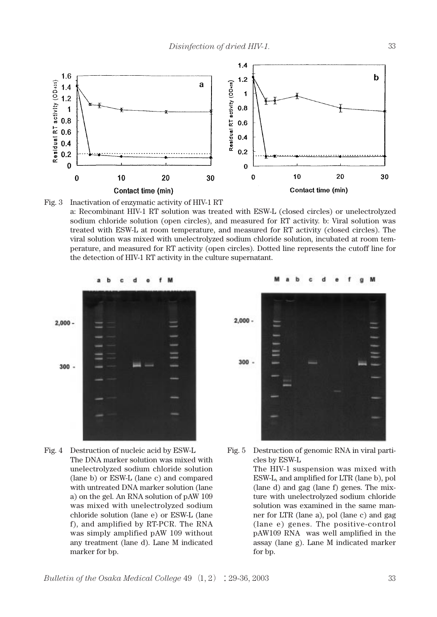



a: Recombinant HIV-1 RT solution was treated with ESW-L (closed circles) or unelectrolyzed sodium chloride solution (open circles), and measured for RT activity. b: Viral solution was treated with ESW-L at room temperature, and measured for RT activity (closed circles). The viral solution was mixed with unelectrolyzed sodium chloride solution, incubated at room temperature, and measured for RT activity (open circles). Dotted line represents the cutoff line for the detection of HIV-1 RT activity in the culture supernatant.



Fig. 4 Destruction of nucleic acid by ESW-L The DNA marker solution was mixed with unelectrolyzed sodium chloride solution (lane b) or ESW-L (lane c) and compared with untreated DNA marker solution (lane a) on the gel. An RNA solution of pAW 109 was mixed with unelectrolyzed sodium chloride solution (lane e) or ESW-L (lane f), and amplified by RT-PCR. The RNA was simply amplified pAW 109 without any treatment (lane d). Lane M indicated marker for bp.



Fig. 5 Destruction of genomic RNA in viral particles by ESW-L

> The HIV-1 suspension was mixed with ESW-L, and amplified for LTR (lane b), pol (lane d) and gag (lane f) genes. The mixture with unelectrolyzed sodium chloride solution was examined in the same manner for LTR (lane a), pol (lane c) and gag (lane e) genes. The positive-control pAW109 RNA was well amplified in the assay (lane g). Lane M indicated marker for bp.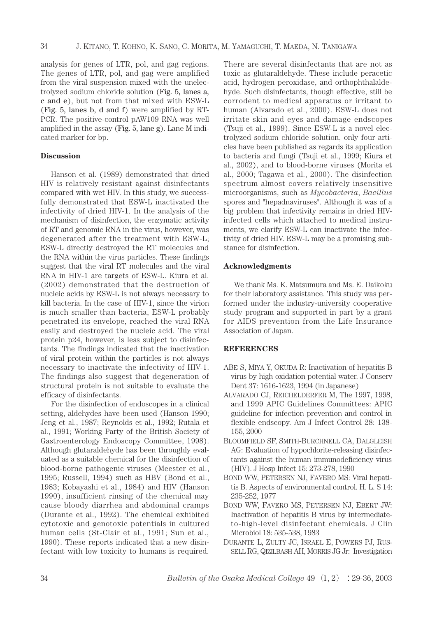analysis for genes of LTR, pol, and gag regions. The genes of LTR, pol, and gag were amplified from the viral suspension mixed with the unelectrolyzed sodium chloride solution (Fig. 5, lanes a, c and e), but not from that mixed with ESW-L (Fig. 5, lanes b, d and f) were amplified by RT-PCR. The positive-control pAW109 RNA was well amplified in the assay (Fig. 5, lane g). Lane M indicated marker for bp.

## **Discussion**

Hanson et al. (1989) demonstrated that dried HIV is relatively resistant against disinfectants compared with wet HIV. In this study, we successfully demonstrated that ESW-L inactivated the infectivity of dried HIV-1. In the analysis of the mechanism of disinfection, the enzymatic activity of RT and genomic RNA in the virus, however, was degenerated after the treatment with ESW-L; ESW-L directly destroyed the RT molecules and the RNA within the virus particles. These findings suggest that the viral RT molecules and the viral RNA in HIV-1 are targets of ESW-L. Kiura et al. (2002) demonstrated that the destruction of nucleic acids by ESW-L is not always necessary to kill bacteria. In the case of HIV-1, since the virion is much smaller than bacteria, ESW-L probably penetrated its envelope, reached the viral RNA easily and destroyed the nucleic acid. The viral protein p24, however, is less subject to disinfectants. The findings indicated that the inactivation of viral protein within the particles is not always necessary to inactivate the infectivity of HIV-1. The findings also suggest that degeneration of structural protein is not suitable to evaluate the efficacy of disinfectants.

For the disinfection of endoscopes in a clinical setting, aldehydes have been used (Hanson 1990; Jeng et al., 1987; Reynolds et al., 1992; Rutala et al., 1991; Working Party of the British Society of Gastroenterology Endoscopy Committee, 1998). Although glutaraldehyde has been throughly evaluated as a suitable chemical for the disinfection of blood-borne pathogenic viruses (Meester et al., 1995; Russell, 1994) such as HBV (Bond et al., 1983; Kobayashi et al., 1984) and HIV (Hanson 1990), insufficient rinsing of the chemical may cause bloody diarrhea and abdominal cramps (Durante et al., 1992). The chemical exhibited cytotoxic and genotoxic potentials in cultured human cells (St-Clair et al., 1991; Sun et al., 1990). These reports indicated that a new disinfectant with low toxicity to humans is required.

There are several disinfectants that are not as toxic as glutaraldehyde. These include peracetic acid, hydrogen peroxidase, and orthophthalaldehyde. Such disinfectants, though effective, still be corrodent to medical apparatus or irritant to human (Alvarado et al., 2000). ESW-L does not irritate skin and eyes and damage endscopes (Tsuji et al., 1999). Since ESW-L is a novel electrolyzed sodium chloride solution, only four articles have been published as regards its application to bacteria and fungi (Tsuji et al., 1999; Kiura et al., 2002), and to blood-borne viruses (Morita et al., 2000; Tagawa et al., 2000). The disinfection spectrum almost covers relatively insensitive microorganisms, such as *Mycobacteria*, *Bacillus* spores and "hepadnaviruses". Although it was of a big problem that infectivity remains in dried HIVinfected cells which attached to medical instruments, we clarify ESW-L can inactivate the infectivity of dried HIV. ESW-L may be a promising substance for disinfection.

## **Acknowledgments**

We thank Ms. K. Matsumura and Ms. E. Daikoku for their laboratory assistance. This study was performed under the industry-university cooperative study program and supported in part by a grant for AIDS prevention from the Life Insurance Association of Japan.

## **REFERENCES**

- ABE S, MIYA Y, OKUDA R: Inactivation of hepatitis B virus by high oxidation potential water. J Conserv Dent 37: 1616-1623, 1994 (in Japanese)
- ALVARADO CJ, REICHELDERFER M, The 1997, 1998, and 1999 APIC Guidelines Committees: APIC guideline for infection prevention and control in flexible endscopy. Am J Infect Control 28: 138- 155, 2000
- BLOOMFIELD SF, SMITH-BURCHNELL CA, DALGLEISH AG: Evaluation of hypochlorite-releasing disinfectants against the human immunodeficiency virus (HIV). J Hosp Infect 15: 273-278, 1990
- BOND WW, PETERSEN NJ, FAVERO MS: Viral hepatitis B. Aspects of environmental control. H. L. S 14: 235-252, 1977
- BOND WW, FAVERO MS, PETERSEN NJ, EBERT JW: Inactivation of hepatitis B virus by intermediateto-high-level disinfectant chemicals. J Clin Microbiol 18: 535-538, 1983
- DURANTE L, ZULTY JC, ISRAEL E, POWERS PJ, RUS-SELL RG, QIZILBASH AH, MORRIS JG Jr: Investigation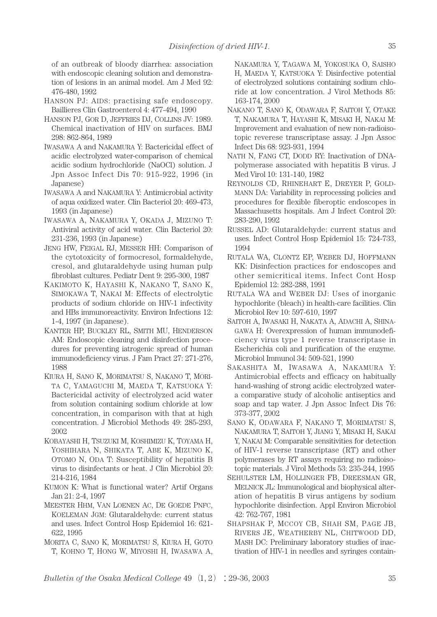of an outbreak of bloody diarrhea: association with endoscopic cleaning solution and demonstration of lesions in an animal model. Am J Med 92: 476-480, 1992

- HANSON PJ: AIDS: practising safe endoscopy. Baillieres Clin Gastroenterol 4: 477-494, 1990
- HANSON PJ, GOR D, JEFFRIES DJ, COLLINS JV: 1989. Chemical inactivation of HIV on surfaces. BMJ 298: 862-864, 1989
- IWASAWA A and NAKAMURA Y: Bactericidal effect of acidic electrolyzed water-comparison of chemical acidic sodium hydrochloride (NaOCl) solution. J Jpn Assoc Infect Dis 70: 915-922, 1996 (in Japanese)
- IWASAWA A and NAKAMURA Y: Antimicrobial activity of aqua oxidized water. Clin Bacteriol 20: 469-473, 1993 (in Japanese)
- IWASAWA A, NAKAMURA Y, OKADA J, MIZUNO T: Antiviral activity of acid water. Clin Bacteriol 20: 231-236, 1993 (in Japanese)
- JENG HW, FEIGAL RJ, MESSER HH: Comparison of the cytotoxicity of formocresol, formaldehyde, cresol, and glutaraldehyde using human pulp fibroblast cultures. Pediatr Dent 9: 295-300, 1987
- KAKIMOTO K, HAYASHI K, NAKANO T, SANO K, SIMOKAWA T, NAKAI M: Effects of electrolytic products of sodium chloride on HIV-1 infectivity and HBs immunoreactivity. Environ Infections 12: 1-4, 1997 (in Japanese).
- KANTER HP, BUCKLEY RL, SMITH MU, HENDERSON AM: Endoscopic cleaning and disinfection procedures for preventing iatrogenic spread of human immunodeficiency virus. J Fam Pract 27: 271-276, 1988
- KIURA H, SANO K, MORIMATSU S, NAKANO T, MORI-TA C, YAMAGUCHI M, MAEDA T, KATSUOKA Y: Bactericidal activity of electrolyzed acid water from solution containing sodium chloride at low concentration, in comparison with that at high concentration. J Microbiol Methods 49: 285-293, 2002
- KOBAYASHI H, TSUZUKI M, KOSHIMIZU K, TOYAMA H, YOSHIHARA N, SHIKATA T, ABE K, MIZUNO K, OTOMO N, ODA T: Susceptibility of hepatitis B virus to disinfectants or heat. J Clin Microbiol 20: 214-216, 1984
- KUMON K: What is functional water? Artif Organs Jan 21: 2-4, 1997
- MEESTER HHM, VAN LOENEN AC, DE GOEDE PNFC, KOELEMAN JGM: Glutaraldehyde: current status and uses. Infect Control Hosp Epidemiol 16: 621- 622, 1995
- MORITA C, SANO K, MORIMATSU S, KIURA H, GOTO T, KOHNO T, HONG W, MIYOSHI H, IWASAWA A,

NAKAMURA Y, TAGAWA M, YOKOSUKA O, SAISHO H, MAEDA Y, KATSUOKA Y: Disinfective potential of electrolyzed solutions containing sodium chloride at low concentration. J Virol Methods 85: 163-174, 2000

- NAKANO T, SANO K, ODAWARA F, SAITOH Y, OTAKE T, NAKAMURA T, HAYASHI K, MISAKI H, NAKAI M: Improvement and evaluation of new non-radioisotopic reverese transcriptase assay. J Jpn Assoc Infect Dis 68: 923-931, 1994
- NATH N, FANG CT, DODD RY: Inactivation of DNApolymerase associated with hepatitis B virus. J Med Virol 10: 131-140, 1982
- REYNOLDS CD, RHINEHART E, DREYER P, GOLD-MANN DA: Variability in reprocessing policies and procedures for flexible fiberoptic endoscopes in Massachusetts hospitals. Am J Infect Control 20: 283-290, 1992
- RUSSEL AD: Glutaraldehyde: current status and uses. Infect Control Hosp Epidemiol 15: 724-733, 1994
- RUTALA WA, CLONTZ EP, WEBER DJ, HOFFMANN KK: Disinfection practices for endoscopes and other semicritical items. Infect Cont Hosp Epidemiol 12: 282-288, 1991
- RUTALA WA and WEBER DJ: Uses of inorganic hypochlorite (bleach) in health-care facilities. Clin Microbiol Rev 10: 597-610, 1997
- SAITOH A, IWASAKI H, NAKATA A, ADACHI A, SHINA-GAWA H: Overexpression of human immunodeficiency virus type 1 reverse transcriptase in Escherichia coli and purification of the enzyme. Microbiol Immunol 34: 509-521, 1990
- SAKASHITA M, IWASAWA A, NAKAMURA Y: Antimicrobial effects and efficacy on habitually hand-washing of strong acidic electrolyzed watera comparative study of alcoholic antiseptics and soap and tap water. J Jpn Assoc Infect Dis 76: 373-377, 2002
- SANO K, ODAWARA F, NAKANO T, MORIMATSU S, NAKAMURA T, SAITOH Y, JIANG Y, MISAKI H, SAKAI Y, NAKAI M: Comparable sensitivities for detection of HIV-1 reverse transcriptase (RT) and other polymerases by RT assays requiring no radioisotopic materials. J Virol Methods 53: 235-244, 1995
- SEHULSTER LM, HOLLINGER FB, DREESMAN GR, MELNICK JL: Immunological and biophysical alteration of hepatitis B virus antigens by sodium hypochlorite disinfection. Appl Environ Microbiol 42: 762-767, 1981
- SHAPSHAK P, MCCOY CB, SHAH SM, PAGE JB, RIVERS JE, WEATHERBY NL, CHITWOOD DD, MASH DC: Preliminary laboratory studies of inactivation of HIV-1 in needles and syringes contain-